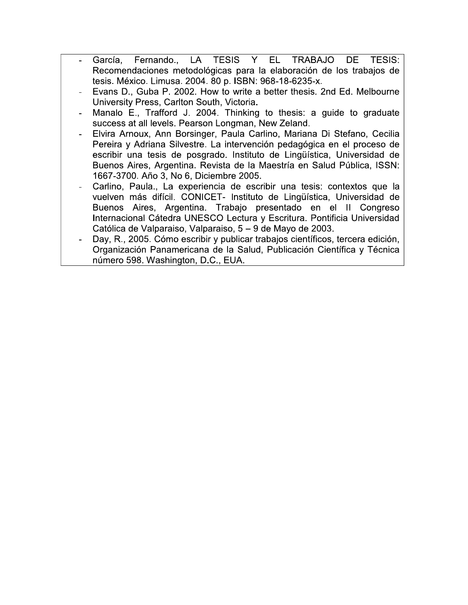- TESIS Y EL. Fernando.. **LA** TRABAJO DE TESIS: García. Recomendaciones metodológicas para la elaboración de los trabajos de tesis. México. Limusa. 2004. 80 p. ISBN: 968-18-6235-x.
- Evans D., Guba P. 2002. How to write a better thesis. 2nd Ed. Melbourne University Press, Carlton South, Victoria.
- Manalo E., Trafford J. 2004. Thinking to thesis: a guide to graduate success at all levels. Pearson Longman, New Zeland.
- Elvira Arnoux, Ann Borsinger, Paula Carlino, Mariana Di Stefano, Cecilia Pereira y Adriana Silvestre. La intervención pedagógica en el proceso de escribir una tesis de posgrado. Instituto de Lingüística, Universidad de Buenos Aires, Argentina. Revista de la Maestría en Salud Pública, ISSN: 1667-3700. Año 3, No 6, Diciembre 2005.
- Carlino, Paula., La experiencia de escribir una tesis: contextos que la vuelven más difícil. CONICET- Instituto de Lingüística, Universidad de Buenos Aires, Argentina. Trabajo presentado en el II Congreso Internacional Cátedra UNESCO Lectura y Escritura. Pontificia Universidad Católica de Valparaiso, Valparaiso, 5 – 9 de Mayo de 2003.
- Day, R., 2005. Cómo escribir y publicar trabajos científicos, tercera edición, Organización Panamericana de la Salud, Publicación Científica y Técnica número 598. Washington, D.C., EUA.